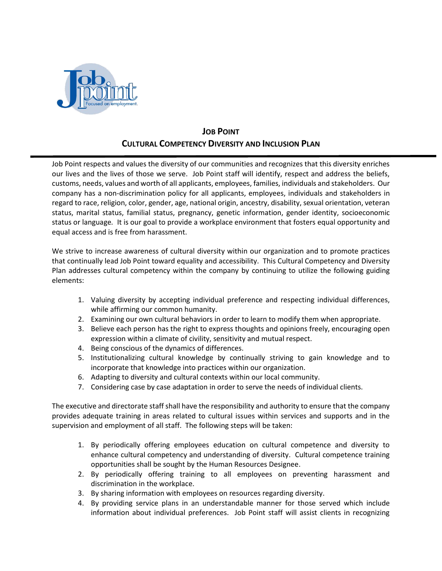

## **JOB POINT CULTURAL COMPETENCY DIVERSITY AND INCLUSION PLAN**

Job Point respects and values the diversity of our communities and recognizes that this diversity enriches our lives and the lives of those we serve. Job Point staff will identify, respect and address the beliefs, customs, needs, values and worth of all applicants, employees, families, individuals and stakeholders. Our company has a non-discrimination policy for all applicants, employees, individuals and stakeholders in regard to race, religion, color, gender, age, national origin, ancestry, disability, sexual orientation, veteran status, marital status, familial status, pregnancy, genetic information, gender identity, socioeconomic status or language*.* It is our goal to provide a workplace environment that fosters equal opportunity and equal access and is free from harassment.

We strive to increase awareness of cultural diversity within our organization and to promote practices that continually lead Job Point toward equality and accessibility. This Cultural Competency and Diversity Plan addresses cultural competency within the company by continuing to utilize the following guiding elements:

- 1. Valuing diversity by accepting individual preference and respecting individual differences, while affirming our common humanity.
- 2. Examining our own cultural behaviors in order to learn to modify them when appropriate.
- 3. Believe each person has the right to express thoughts and opinions freely, encouraging open expression within a climate of civility, sensitivity and mutual respect.
- 4. Being conscious of the dynamics of differences.
- 5. Institutionalizing cultural knowledge by continually striving to gain knowledge and to incorporate that knowledge into practices within our organization.
- 6. Adapting to diversity and cultural contexts within our local community.
- 7. Considering case by case adaptation in order to serve the needs of individual clients.

The executive and directorate staff shall have the responsibility and authority to ensure that the company provides adequate training in areas related to cultural issues within services and supports and in the supervision and employment of all staff. The following steps will be taken:

- 1. By periodically offering employees education on cultural competence and diversity to enhance cultural competency and understanding of diversity. Cultural competence training opportunities shall be sought by the Human Resources Designee.
- 2. By periodically offering training to all employees on preventing harassment and discrimination in the workplace.
- 3. By sharing information with employees on resources regarding diversity.
- 4. By providing service plans in an understandable manner for those served which include information about individual preferences. Job Point staff will assist clients in recognizing